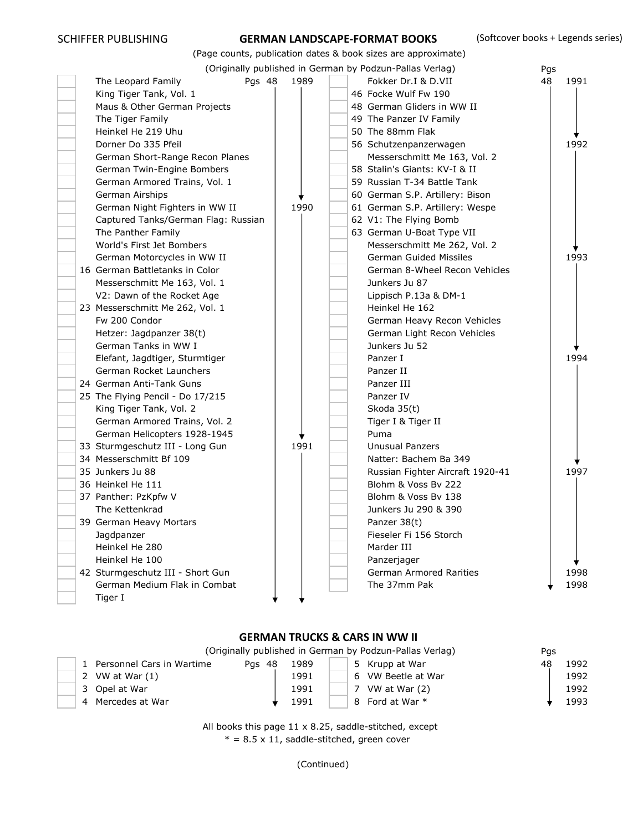# SCHIFFER PUBLISHING **GERMAN LANDSCAPE-FORMAT BOOKS** (Softcover books + Legends series)

|  |                                     |      |  | (Page counts, publication dates & book sizes are approximate) |     |      |
|--|-------------------------------------|------|--|---------------------------------------------------------------|-----|------|
|  |                                     |      |  | (Originally published in German by Podzun-Pallas Verlag)      | Pgs |      |
|  | Pgs 48<br>The Leopard Family        | 1989 |  | Fokker Dr.I & D.VII                                           | 48  | 1991 |
|  | King Tiger Tank, Vol. 1             |      |  | 46 Focke Wulf Fw 190                                          |     |      |
|  | Maus & Other German Projects        |      |  | 48 German Gliders in WW II                                    |     |      |
|  | The Tiger Family                    |      |  | 49 The Panzer IV Family                                       |     |      |
|  | Heinkel He 219 Uhu                  |      |  | 50 The 88mm Flak                                              |     |      |
|  | Dorner Do 335 Pfeil                 |      |  | 56 Schutzenpanzerwagen                                        |     | 1992 |
|  | German Short-Range Recon Planes     |      |  | Messerschmitt Me 163, Vol. 2                                  |     |      |
|  | German Twin-Engine Bombers          |      |  | 58 Stalin's Giants: KV-I & II                                 |     |      |
|  | German Armored Trains, Vol. 1       |      |  | 59 Russian T-34 Battle Tank                                   |     |      |
|  | German Airships                     |      |  | 60 German S.P. Artillery: Bison                               |     |      |
|  | German Night Fighters in WW II      | 1990 |  | 61 German S.P. Artillery: Wespe                               |     |      |
|  | Captured Tanks/German Flag: Russian |      |  | 62 V1: The Flying Bomb                                        |     |      |
|  | The Panther Family                  |      |  | 63 German U-Boat Type VII                                     |     |      |
|  | World's First Jet Bombers           |      |  | Messerschmitt Me 262, Vol. 2                                  |     |      |
|  | German Motorcycles in WW II         |      |  | <b>German Guided Missiles</b>                                 |     | 1993 |
|  | 16 German Battletanks in Color      |      |  | German 8-Wheel Recon Vehicles                                 |     |      |
|  | Messerschmitt Me 163, Vol. 1        |      |  | Junkers Ju 87                                                 |     |      |
|  | V2: Dawn of the Rocket Age          |      |  | Lippisch P.13a & DM-1                                         |     |      |
|  | 23 Messerschmitt Me 262, Vol. 1     |      |  | Heinkel He 162                                                |     |      |
|  | Fw 200 Condor                       |      |  | German Heavy Recon Vehicles                                   |     |      |
|  | Hetzer: Jagdpanzer 38(t)            |      |  | German Light Recon Vehicles                                   |     |      |
|  | German Tanks in WW I                |      |  | Junkers Ju 52                                                 |     |      |
|  | Elefant, Jagdtiger, Sturmtiger      |      |  | Panzer I                                                      |     | 1994 |
|  | German Rocket Launchers             |      |  | Panzer II                                                     |     |      |
|  | 24 German Anti-Tank Guns            |      |  | Panzer III                                                    |     |      |
|  | 25 The Flying Pencil - Do 17/215    |      |  | Panzer IV                                                     |     |      |
|  | King Tiger Tank, Vol. 2             |      |  | Skoda 35(t)                                                   |     |      |
|  | German Armored Trains, Vol. 2       |      |  | Tiger I & Tiger II                                            |     |      |
|  | German Helicopters 1928-1945        |      |  | Puma                                                          |     |      |
|  | 33 Sturmgeschutz III - Long Gun     | 1991 |  | <b>Unusual Panzers</b>                                        |     |      |
|  | 34 Messerschmitt Bf 109             |      |  | Natter: Bachem Ba 349                                         |     |      |
|  | 35 Junkers Ju 88                    |      |  | Russian Fighter Aircraft 1920-41                              |     | 1997 |
|  | 36 Heinkel He 111                   |      |  | Blohm & Voss By 222                                           |     |      |
|  | 37 Panther: PzKpfw V                |      |  | Blohm & Voss By 138                                           |     |      |
|  | The Kettenkrad                      |      |  | Junkers Ju 290 & 390                                          |     |      |
|  | 39 German Heavy Mortars             |      |  | Panzer 38(t)                                                  |     |      |
|  | Jagdpanzer                          |      |  | Fieseler Fi 156 Storch                                        |     |      |
|  | Heinkel He 280                      |      |  | Marder III                                                    |     |      |
|  | Heinkel He 100                      |      |  | Panzerjager                                                   |     |      |
|  | 42 Sturmgeschutz III - Short Gun    |      |  | <b>German Armored Rarities</b>                                |     | 1998 |
|  | German Medium Flak in Combat        |      |  | The 37mm Pak                                                  |     | 1998 |
|  | Tiger I                             |      |  |                                                               |     |      |
|  |                                     |      |  |                                                               |     |      |

# **GERMAN TRUCKS & CARS IN WW II**

| (Originally published in German by Podzun-Pallas Verlag)<br>Pas |        |      |                    |    |      |  |  |  |  |  |  |
|-----------------------------------------------------------------|--------|------|--------------------|----|------|--|--|--|--|--|--|
| 1 Personnel Cars in Wartime                                     | Pas 48 | 1989 | 5 Krupp at War     | 48 | 1992 |  |  |  |  |  |  |
| 2 VW at War $(1)$                                               |        | 1991 | 6 VW Beetle at War |    | 1992 |  |  |  |  |  |  |
| 3 Opel at War                                                   |        | 1991 | 7 VW at War (2)    |    | 1992 |  |  |  |  |  |  |
| 4 Mercedes at War                                               |        | 1991 | 8 Ford at War *    |    | 1993 |  |  |  |  |  |  |

 All books this page 11 x 8.25, saddle-stitched, except  $* = 8.5 \times 11$ , saddle-stitched, green cover

(Continued)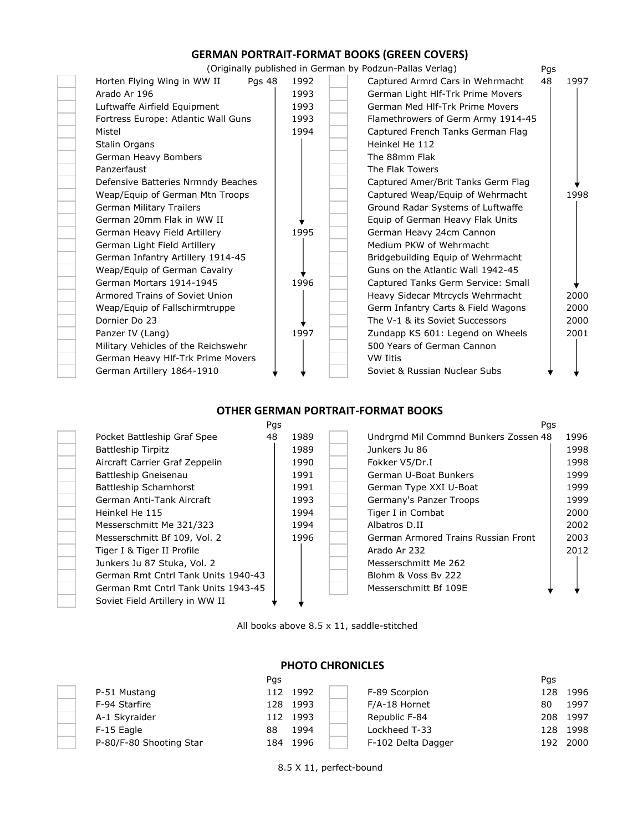# **GERMAN PORTRAIT-FORMAT BOOKS (GREEN COVERS)**

(Originally published in German by Podzun-Pallas Verlag)



## **OTHER GERMAN PORTRAIT-FORMAT BOOKS**



All books above 8.5 x 11, saddle-stitched



## **PHOTO CHRONICLES**

|                         | Pgs        |                    | Pas           |
|-------------------------|------------|--------------------|---------------|
| P-51 Mustang            | 112 1992   | F-89 Scorpion      | 1996<br>128   |
| F-94 Starfire           | 128 1993   | F/A-18 Hornet      | 1997<br>80    |
| A-1 Skyraider           | 112 1993   | Republic F-84      | - 1997<br>208 |
| F-15 Eagle              | 1994<br>88 | Lockheed T-33      | 128 1998      |
| P-80/F-80 Shooting Star | 184 1996   | F-102 Delta Dagger | 192 2000      |

8.5 X 11, perfect-bound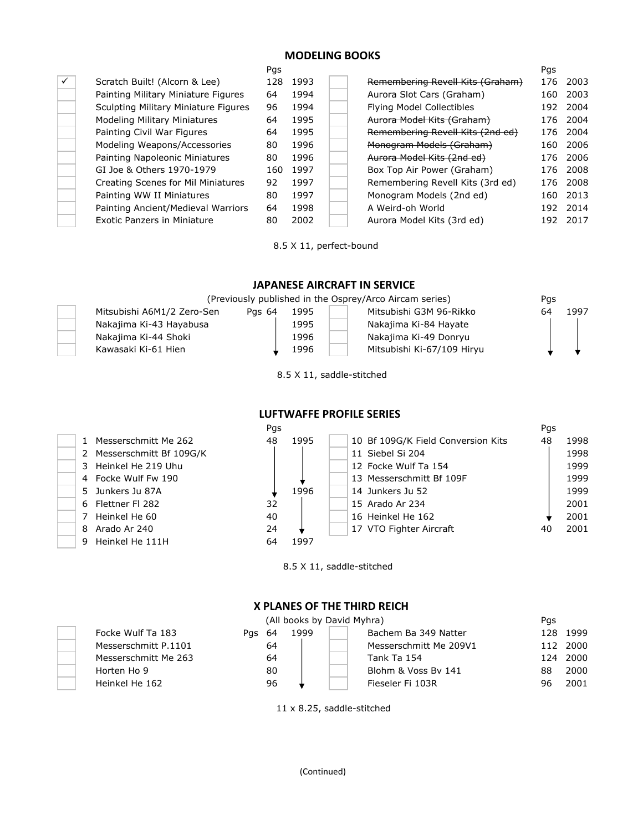## **MODELING BOOKS**

| ÷,     |
|--------|
|        |
|        |
| $\sim$ |
| ۰      |
|        |
| ۰      |
| ۰      |
| $\sim$ |
|        |
| $\sim$ |
| ۰      |
| ۰      |

|   |                                      | Pgs |          |                                  | Pgs |          |
|---|--------------------------------------|-----|----------|----------------------------------|-----|----------|
| ✓ | Scratch Built! (Alcorn & Lee)        |     | 128 1993 | Remembering Revell Kits (Graham) |     | 176 2003 |
|   | Painting Military Miniature Figures  | 64  | 1994     | Aurora Slot Cars (Graham)        | 160 | 2003     |
|   | Sculpting Military Miniature Figures | 96  | 1994     | Flying Model Collectibles        | 192 | 2004     |
|   | Modeling Military Miniatures         | 64  | 1995     | Aurora Model Kits (Graham)       | 176 | 2004     |
|   | Painting Civil War Figures           | 64  | 1995     | Remembering Revell Kits (2nd ed) | 176 | 2004     |
|   | Modeling Weapons/Accessories         | 80  | 1996     | Monogram Models (Graham)         | 160 | 2006     |
|   | Painting Napoleonic Miniatures       | 80  | 1996     | Aurora Model Kits (2nd ed)       | 176 | 2006     |
|   | GI Joe & Others 1970-1979            | 160 | 1997     | Box Top Air Power (Graham)       | 176 | 2008     |
|   | Creating Scenes for Mil Miniatures   | 92  | 1997     | Remembering Revell Kits (3rd ed) | 176 | 2008     |
|   | Painting WW II Miniatures            | 80  | 1997     | Monogram Models (2nd ed)         | 160 | 2013     |
|   | Painting Ancient/Medieval Warriors   | 64  | 1998     | A Weird-oh World                 | 192 | 2014     |
|   | <b>Exotic Panzers in Miniature</b>   | 80  | 2002     | Aurora Model Kits (3rd ed)       | 192 | 2017     |

8.5 X 11, perfect-bound

 **JAPANESE AIRCRAFT IN SERVICE**

| (Previously published in the Osprey/Arco Aircam series) | Pas    |      |                            |    |      |
|---------------------------------------------------------|--------|------|----------------------------|----|------|
| Mitsubishi A6M1/2 Zero-Sen                              | Pas 64 | 1995 | Mitsubishi G3M 96-Rikko    | 64 | 1997 |
| Nakajima Ki-43 Hayabusa                                 |        | 1995 | Nakajima Ki-84 Hayate      |    |      |
| Nakajima Ki-44 Shoki                                    |        | 1996 | Nakajima Ki-49 Donryu      |    |      |
| Kawasaki Ki-61 Hien                                     |        | 1996 | Mitsubishi Ki-67/109 Hiryu |    |      |

8.5 X 11, saddle-stitched

 **LUFTWAFFE PROFILE SERIES**

|                           | Pgs |      |                                    | Pas |      |
|---------------------------|-----|------|------------------------------------|-----|------|
| 1 Messerschmitt Me 262    | 48  | 1995 | 10 Bf 109G/K Field Conversion Kits | 48  | 1998 |
| 2 Messerschmitt Bf 109G/K |     |      | 11 Siebel Si 204                   |     | 1998 |
| 3 Heinkel He 219 Uhu      |     |      | 12 Focke Wulf Ta 154               |     | 1999 |
| 4 Focke Wulf Fw 190       |     |      | 13 Messerschmitt Bf 109F           |     | 1999 |
| 5 Junkers Ju 87A          |     | 1996 | 14 Junkers Ju 52                   |     | 1999 |
| 6 Flettner Fl 282         | 32  |      | 15 Arado Ar 234                    |     | 2001 |
| 7 Heinkel He 60           | 40  |      | 16 Heinkel He 162                  |     | 2001 |
| 8 Arado Ar 240            | 24  |      | 17 VTO Fighter Aircraft            | 40  | 2001 |
| 9 Heinkel He 111H         | 64  | 1997 |                                    |     |      |
|                           |     |      |                                    |     |      |

8.5 X 11, saddle-stitched

# **X PLANES OF THE THIRD REICH**

|    |        | Pgs                    |                            |          |
|----|--------|------------------------|----------------------------|----------|
|    | 1999   | Bachem Ba 349 Natter   | 128                        | 1999     |
| 64 |        | Messerschmitt Me 209V1 |                            | 112 2000 |
| 64 |        | Tank Ta 154            | 124                        | 2000     |
| 80 |        | Blohm & Voss By 141    | 88                         | 2000     |
| 96 |        | Fieseler Fi 103R       | 96                         | 2001     |
|    | Pas 64 |                        | (All books by David Myhra) |          |

11 x 8.25, saddle-stitched

|  | 5 - Junkers Ju 87A |
|--|--------------------|
|  | 6 Flettner Fl 282  |
|  | 7 Heinkel He 60    |
|  | 8 Arado Ar 240     |
|  | 9 Heinkel He 111l  |
|  |                    |
|  |                    |
|  |                    |

Focke Wulf Ta 183 Messerschmitt P.11 Messerschmitt Me 2 Heinkel He 162

#### (Continued)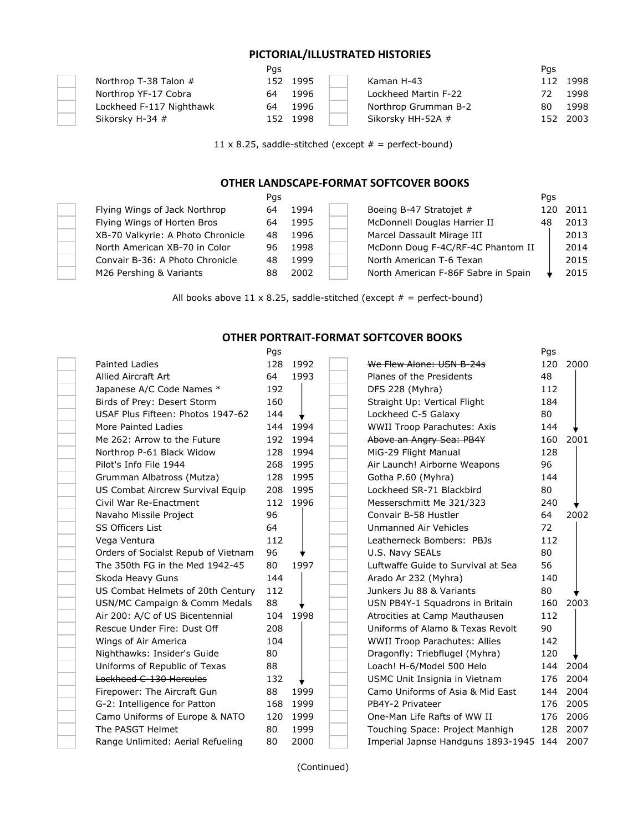## **PICTORIAL/ILLUSTRATED HISTORIES**

|                          | Pgs |          |                      | Pas |          |
|--------------------------|-----|----------|----------------------|-----|----------|
| Northrop T-38 Talon #    |     | 152 1995 | Kaman H-43           |     | 112 1998 |
| Northrop YF-17 Cobra     | 64  | 1996     | Lockheed Martin F-22 |     | 1998     |
| Lockheed F-117 Nighthawk | 64  | 1996     | Northrop Grumman B-2 | 80  | 1998     |
| Sikorsky H-34 #          |     | 152 1998 | Sikorsky HH-52A #    |     | 152 2003 |

11 x 8.25, saddle-stitched (except  $# =$  perfect-bound)

## **OTHER LANDSCAPE-FORMAT SOFTCOVER BOOKS**

| Pgs |      |                                     | Pas |          |
|-----|------|-------------------------------------|-----|----------|
| 64  | 1994 | Boeing B-47 Stratojet #             |     | 120 2011 |
| 64  | 1995 | McDonnell Douglas Harrier II        | 48  | 2013     |
| 48  | 1996 | Marcel Dassault Mirage III          |     | 2013     |
| 96. | 1998 | McDonn Doug F-4C/RF-4C Phantom II   |     | 2014     |
| 48  | 1999 | North American T-6 Texan            |     | 2015     |
| 88  | 2002 | North American F-86F Sabre in Spain |     | 2015     |
|     |      |                                     |     |          |

All books above 11 x 8.25, saddle-stitched (except  $# =$  perfect-bound)

 **OTHER PORTRAIT-FORMAT SOFTCOVER BOOKS**

|                                     | Pgs |          |                                        | Pgs |      |
|-------------------------------------|-----|----------|----------------------------------------|-----|------|
| <b>Painted Ladies</b>               | 128 | 1992     | We Flew Alone: USN B-24s               | 120 | 2000 |
| Allied Aircraft Art                 | 64  | 1993     | Planes of the Presidents               | 48  |      |
| Japanese A/C Code Names *           | 192 |          | DFS 228 (Myhra)                        | 112 |      |
| Birds of Prey: Desert Storm         | 160 |          | Straight Up: Vertical Flight           | 184 |      |
| USAF Plus Fifteen: Photos 1947-62   | 144 |          | Lockheed C-5 Galaxy                    | 80  |      |
| More Painted Ladies                 | 144 | 1994     | <b>WWII Troop Parachutes: Axis</b>     | 144 |      |
| Me 262: Arrow to the Future         | 192 | 1994     | Above an Angry Sea: PB4Y               | 160 | 2001 |
| Northrop P-61 Black Widow           | 128 | 1994     | MiG-29 Flight Manual                   | 128 |      |
| Pilot's Info File 1944              | 268 | 1995     | Air Launch! Airborne Weapons           | 96  |      |
| Grumman Albatross (Mutza)           | 128 | 1995     | Gotha P.60 (Myhra)                     | 144 |      |
| US Combat Aircrew Survival Equip    | 208 | 1995     | Lockheed SR-71 Blackbird               | 80  |      |
| Civil War Re-Enactment              |     | 112 1996 | Messerschmitt Me 321/323               | 240 |      |
| Navaho Missile Project              | 96  |          | Convair B-58 Hustler                   | 64  | 2002 |
| <b>SS Officers List</b>             | 64  |          | Unmanned Air Vehicles                  | 72  |      |
| Vega Ventura                        | 112 |          | Leatherneck Bombers: PBJs              | 112 |      |
| Orders of Socialst Repub of Vietnam | 96  |          | U.S. Navy SEALs                        | 80  |      |
| The 350th FG in the Med 1942-45     | 80  | 1997     | Luftwaffe Guide to Survival at Sea     | 56  |      |
| Skoda Heavy Guns                    | 144 |          | Arado Ar 232 (Myhra)                   | 140 |      |
| US Combat Helmets of 20th Century   | 112 |          | Junkers Ju 88 & Variants               | 80  |      |
| USN/MC Campaign & Comm Medals       | 88  |          | USN PB4Y-1 Squadrons in Britain        | 160 | 2003 |
| Air 200: A/C of US Bicentennial     | 104 | 1998     | Atrocities at Camp Mauthausen          | 112 |      |
| Rescue Under Fire: Dust Off         | 208 |          | Uniforms of Alamo & Texas Revolt       | 90  |      |
| Wings of Air America                | 104 |          | <b>WWII Troop Parachutes: Allies</b>   | 142 |      |
| Nighthawks: Insider's Guide         | 80  |          | Dragonfly: Triebflugel (Myhra)         | 120 |      |
| Uniforms of Republic of Texas       | 88  |          | Loach! H-6/Model 500 Helo              | 144 | 2004 |
| Lockheed C-130 Hercules             | 132 |          | USMC Unit Insignia in Vietnam          | 176 | 2004 |
| Firepower: The Aircraft Gun         | 88  | 1999     | Camo Uniforms of Asia & Mid East       | 144 | 2004 |
| G-2: Intelligence for Patton        | 168 | 1999     | PB4Y-2 Privateer                       | 176 | 2005 |
| Camo Uniforms of Europe & NATO      | 120 | 1999     | One-Man Life Rafts of WW II            | 176 | 2006 |
| The PASGT Helmet                    | 80  | 1999     | Touching Space: Project Manhigh        | 128 | 2007 |
| Range Unlimited: Aerial Refueling   | 80  | 2000     | Imperial Japnse Handguns 1893-1945 144 |     | 2007 |
|                                     |     |          |                                        |     |      |

(Continued)